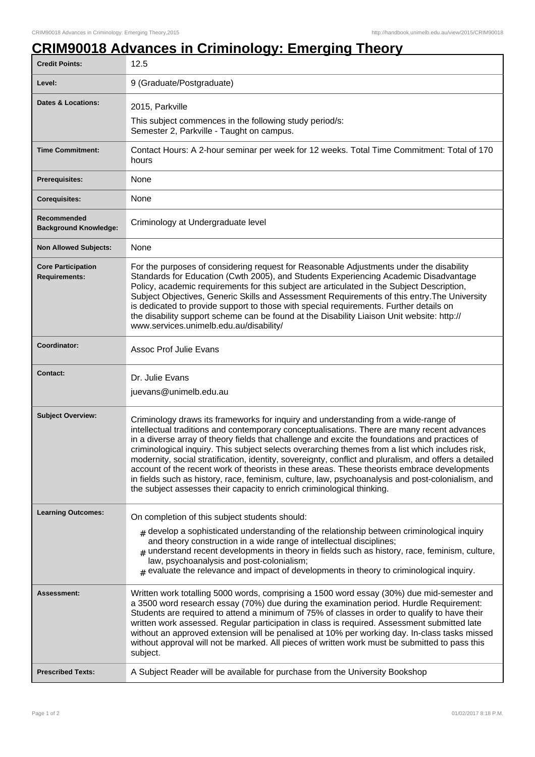## **CRIM90018 Advances in Criminology: Emerging Theory**

| <b>Credit Points:</b>                             | 12.5                                                                                                                                                                                                                                                                                                                                                                                                                                                                                                                                                                                                                                                                                                                                                                              |
|---------------------------------------------------|-----------------------------------------------------------------------------------------------------------------------------------------------------------------------------------------------------------------------------------------------------------------------------------------------------------------------------------------------------------------------------------------------------------------------------------------------------------------------------------------------------------------------------------------------------------------------------------------------------------------------------------------------------------------------------------------------------------------------------------------------------------------------------------|
| Level:                                            | 9 (Graduate/Postgraduate)                                                                                                                                                                                                                                                                                                                                                                                                                                                                                                                                                                                                                                                                                                                                                         |
| Dates & Locations:                                | 2015, Parkville<br>This subject commences in the following study period/s:                                                                                                                                                                                                                                                                                                                                                                                                                                                                                                                                                                                                                                                                                                        |
|                                                   | Semester 2, Parkville - Taught on campus.                                                                                                                                                                                                                                                                                                                                                                                                                                                                                                                                                                                                                                                                                                                                         |
| <b>Time Commitment:</b>                           | Contact Hours: A 2-hour seminar per week for 12 weeks. Total Time Commitment: Total of 170<br>hours                                                                                                                                                                                                                                                                                                                                                                                                                                                                                                                                                                                                                                                                               |
| <b>Prerequisites:</b>                             | None                                                                                                                                                                                                                                                                                                                                                                                                                                                                                                                                                                                                                                                                                                                                                                              |
| <b>Corequisites:</b>                              | None                                                                                                                                                                                                                                                                                                                                                                                                                                                                                                                                                                                                                                                                                                                                                                              |
| Recommended<br><b>Background Knowledge:</b>       | Criminology at Undergraduate level                                                                                                                                                                                                                                                                                                                                                                                                                                                                                                                                                                                                                                                                                                                                                |
| <b>Non Allowed Subjects:</b>                      | None                                                                                                                                                                                                                                                                                                                                                                                                                                                                                                                                                                                                                                                                                                                                                                              |
| <b>Core Participation</b><br><b>Requirements:</b> | For the purposes of considering request for Reasonable Adjustments under the disability<br>Standards for Education (Cwth 2005), and Students Experiencing Academic Disadvantage<br>Policy, academic requirements for this subject are articulated in the Subject Description,<br>Subject Objectives, Generic Skills and Assessment Requirements of this entry. The University<br>is dedicated to provide support to those with special requirements. Further details on<br>the disability support scheme can be found at the Disability Liaison Unit website: http://<br>www.services.unimelb.edu.au/disability/                                                                                                                                                                  |
| Coordinator:                                      | <b>Assoc Prof Julie Evans</b>                                                                                                                                                                                                                                                                                                                                                                                                                                                                                                                                                                                                                                                                                                                                                     |
|                                                   |                                                                                                                                                                                                                                                                                                                                                                                                                                                                                                                                                                                                                                                                                                                                                                                   |
| <b>Contact:</b>                                   | Dr. Julie Evans<br>juevans@unimelb.edu.au                                                                                                                                                                                                                                                                                                                                                                                                                                                                                                                                                                                                                                                                                                                                         |
| <b>Subject Overview:</b>                          | Criminology draws its frameworks for inquiry and understanding from a wide-range of<br>intellectual traditions and contemporary conceptualisations. There are many recent advances<br>in a diverse array of theory fields that challenge and excite the foundations and practices of<br>criminological inquiry. This subject selects overarching themes from a list which includes risk,<br>modernity, social stratification, identity, sovereignty, conflict and pluralism, and offers a detailed<br>account of the recent work of theorists in these areas. These theorists embrace developments<br>in fields such as history, race, feminism, culture, law, psychoanalysis and post-colonialism, and<br>the subject assesses their capacity to enrich criminological thinking. |
| <b>Learning Outcomes:</b>                         | On completion of this subject students should:<br>$_{\#}$ develop a sophisticated understanding of the relationship between criminological inquiry<br>and theory construction in a wide range of intellectual disciplines;<br>$#$ understand recent developments in theory in fields such as history, race, feminism, culture,<br>law, psychoanalysis and post-colonialism;<br>$_{\text{\#}}$ evaluate the relevance and impact of developments in theory to criminological inquiry.                                                                                                                                                                                                                                                                                              |
| Assessment:                                       | Written work totalling 5000 words, comprising a 1500 word essay (30%) due mid-semester and<br>a 3500 word research essay (70%) due during the examination period. Hurdle Requirement:<br>Students are required to attend a minimum of 75% of classes in order to qualify to have their<br>written work assessed. Regular participation in class is required. Assessment submitted late<br>without an approved extension will be penalised at 10% per working day. In-class tasks missed<br>without approval will not be marked. All pieces of written work must be submitted to pass this<br>subject.                                                                                                                                                                             |